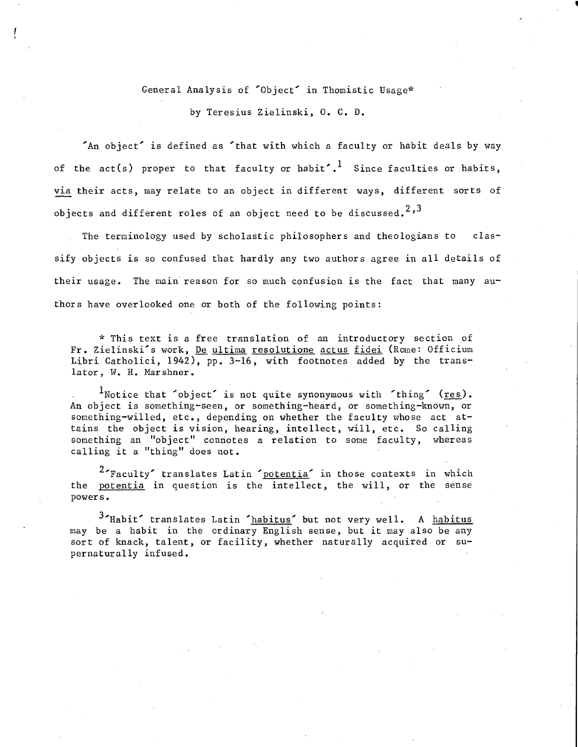## **General Analysis of 'Object' in Thomistic Usage\***

**by Teresius Zielinski, 0. C. D.**

**'An object' is defined as 'that with which a faculty or habit deals by way** of the  $act(s)$  proper to that faculty or habit'.<sup>1</sup> Since faculties or habits, **via their acts, may relate to an object in different ways, different sorts of objects and different roles of an object need to be discussed.2, 3**

**The terminology used by scholastic philosophers and theologians to classify objects is so confused that hardly any two authors agree in all details of their usage. The main reason for so much confusion is the fact that many authors have overlooked one or both of the following points:**

**\* This text is a free translation of an introductory section of Fr. Zielinski's work, De ultima resolutione actus fidei (Rome: Officium Libri Catholici, 1942), pp. 3-16, with footnotes added by the translator, W. H. Marshner.**

**1Notice that 'object' is not quite synonymous with 'thing' (res). An object is something-seen, or something-heard, or something-known, or something-willed, etc., depending on whether the faculty whose act attains the object is vision, hearing, intellect, will, etc. So calling something an "object" connotes a relation to some faculty, whereas calling it a "thing" does not.**

**2'Faculty' translates Latin 'potentia' in those contexts in which the potentia in question is the intellect, the will, or the sense powers.**

**3'Habit' translates Latin 'habitus' but not very well. A habitus may be a habit in the ordinary English sense, but it may also be any sort of knack, talent, or facility, whether naturally acquired or supernaturally infused.**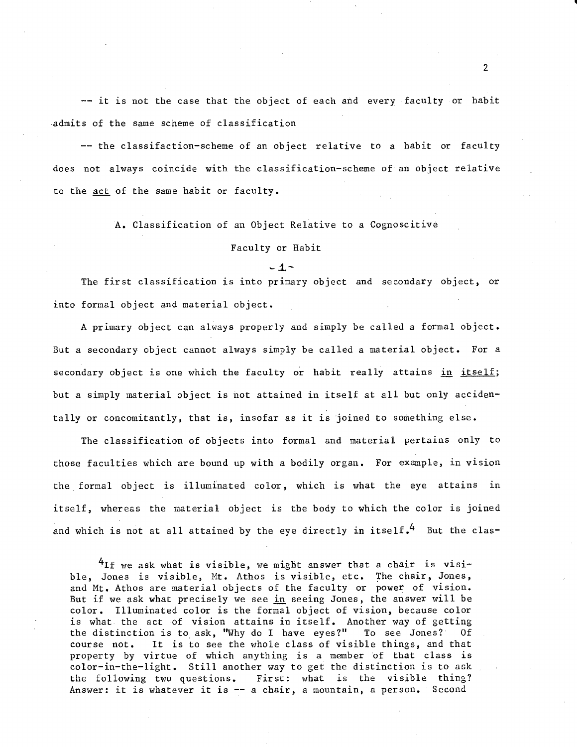**— it is not the case that the object of each and every faculty or habit admits of the same scheme of classification**

**— the classifaction-scheme of an object relative to a habit or faculty does not always coincide with the classification-scheme of an object relative to the act of the same habit or faculty.**

**A. Classification of an Object Relative to a Cognoscitive**

**Faculty or Habit**

## $-1$   $-$

**The first classification is into primary object and secondary object, or into formal object and material object.**

**A primary object can always properly and simply be called a formal object. But a secondary object cannot always simply be called a material object. For a secondary object is one which the faculty or habit really attains in itself; but a simply material object is not attained in itself at all but only accidentally or concomitantly, that is, insofar as it is joined to something else.**

**The classification of objects into formal and material pertains only to those faculties which are bound up with a bodily organ. For example, in vision the formal object is illuminated color, which is what the eye attains in itself, whereas the material object is the body to which the color is joined** and which is not at all attained by the eye directly in itself.<sup>4</sup> But the clas-

**4If we ask what is visible, we might answer that a chair is visible, Jones is visible, Mt. Athos is visible, etc. The chair, Jones, and Mt. Athos are material objects of the faculty or power of vision. But if we ask what precisely we see in seeing Jones, the answer will be color. Illuminated color is the formal object of vision, because color is what the act of vision attains in itself. Another way of getting the distinction is to ask, "Why do I have eyes?" To see Jones? Of course not. It is to see the whole class of visible things, and that property by virtue of which anything is a member of that class is color-in-the-light. Still another way to get the distinction is to ask the following two questions. First: what is the visible thing? Answer: it is whatever it is — a chair, a mountain, a person. Second**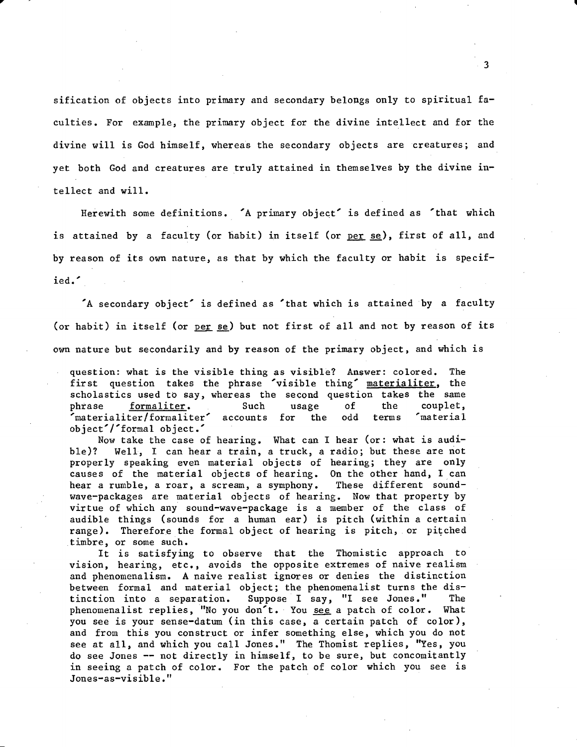**sification of objects into primary and secondary belongs only to spiritual faculties. For example, the primary object for the divine intellect and for the divine will is God himself, whereas the secondary objects are creatures; and yet both God and creatures are truly attained in themselves by the divine intellect and will.**

**Herewith some definitions. 'A primary object' is defined as 'that which is attained by a faculty (or habit) in itself (or per se), first of all, and by reason of its own nature, as that by which the faculty or habit is specified.'**

**'A secondary object' is defined as 'that which is attained by a faculty (or habit) in itself (or per se) but not first of all and not by reason of its own nature but secondarily and by reason of the primary object, and which is**

**question: what is the visible thing as visible? Answer: colored. The first question takes the phrase 'visible thing' materialiter, the scholastics used to say, whereas the second question takes the same phrase formaliter. Such usage of the couplet, 'materialiter/formaliter' accounts for the odd terms 'material object'/'formal object.'**

**Now take the case of hearing. What can I hear (or: what is audible)? Well, I can hear a train, a truck, a radio; but these are not properly speaking even material objects of hearing; they are only causes of the material objects of hearing. On the other hand, I can hear a rumble, a roar, a scream, a symphony. These different soundwave-packages are material objects of hearing. Now that property by virtue of which any sound-wave-package is a member of the class of audible things (sounds for a human ear) is pitch (within a certain range). Therefore the formal object of hearing is pitch, or pitched timbre, or some such.**

**It is satisfying to observe that the Thomistic approach to vision, hearing, etc., avoids the opposite extremes of naive realism and phenomenalism. A naive realist ignores or denies the distinction between formal and material object; the phenomenalist turns the distinction into a separation. Suppose I say, "I see Jones." The phenomenalist replies, "No you don't. You see a patch of color. What you see is your sense-datum (in this case, a certain patch of color), and from this you construct or infer something else, which you do not see at all, and which you call Jones." The Thomist replies, "Yes, you do see Jones — not directly in himself, to be sure, but concomitantly in seeing a patch of color. For the patch of color which you see is Jones-as-visible."**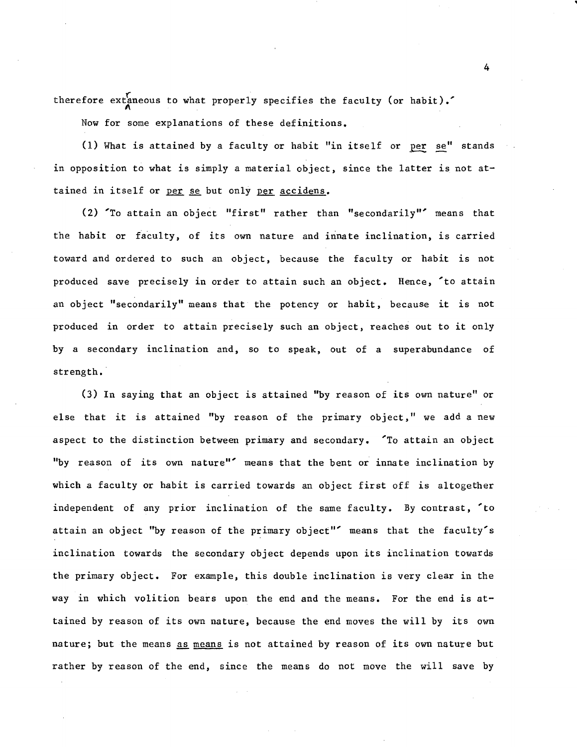therefore extaneous to what properly specifies the faculty (or habit).

**Now for some explanations of these definitions.**

**(1) What is attained by a faculty or habit "in itself or per se" stands in opposition to what is simply a material object, since the latter is not attained in itself or per se but only per accidens.**

**(2) 'To attain an object "first" rather than "secondarily"' means that the habit or faculty, of its own nature and innate inclination, is carried toward and ordered to such an object, because the faculty or habit is not produced save precisely in order to attain such an object. Hence, 'to attain an object "secondarily" means that the potency or habit, because it is not produced in order to attain precisely such an object, reaches out to it only by a secondary inclination and, so to speak, out of a superabundance of strength.**

**(3) In saying that an object is attained "by reason of its own nature" or else that it is attained "by reason of the primary object," we add a new aspect to the distinction between primary and secondary. 'To attain an object "by reason of its own nature"' means that the bent or innate inclination by which a faculty or habit is carried towards an object first off is altogether independent of any prior inclination of the same faculty. By contrast, 'to attain an object "by reason of the primary object"' means that the faculty's inclination towards the secondary object depends upon its inclination towards the primary object. For example, this double inclination is very clear in the way in which volition bears upon the end and the means. For the end is attained by reason of its own nature, because the end moves the will by its own nature; but the means as means is not attained by reason of its own nature but rather by reason of the end, since the means do not move the will save by**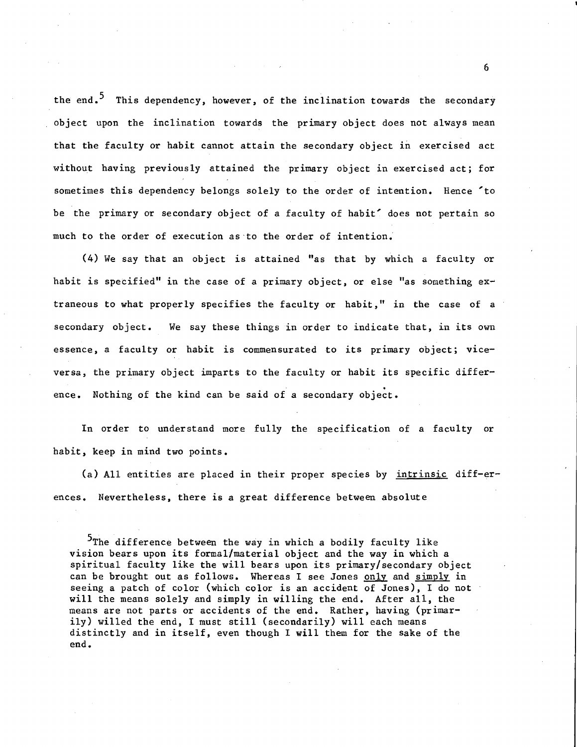**the end.5 This dependency, however, of the inclination towards the secondary object upon the inclination towards the primary object does not always mean that the faculty or habit cannot attain the secondary object in exercised act without having previously attained the primary object in exercised act; for sometimes this dependency belongs solely to the order of intention. Hence 'to be the primary or secondary object of a faculty of habit' does not pertain so much to the order of execution as to the order of intention.**

**(4) We say that an object is attained "as that by which a faculty or habit is specified" in the case of a primary object, or else "as something extraneous to what properly specifies the faculty or habit," in the case of a secondary object. We say these things in order to indicate that, in its own essence, a faculty or habit is commensurated to its primary object; viceversa, the primary object imparts to the faculty or habit its specific difference. Nothing of the kind can be said of a secondary object.**

**In order to understand more fully the specification of a faculty or habit, keep in mind two points.**

(a) All entities are placed in their proper species by intrinsic diff-er**ences. Nevertheless, there is a great difference between absolute**

**5The difference between the way in which a bodily faculty like vision bears upon its formal/material object and the way in which a spiritual faculty like the will bears upon its primary/secondary object can be brought out as follows. Whereas I see Jones only and simply in seeing a patch of color (which color is an accident of Jones), I do not will the means solely and simply in willing the end. After all, the means are not parts or accidents of the end. Rather, having (primarily) willed the end, I must still (secondarily) will each means distinctly and in itself, even though I will them for the sake of the end.**

 $6\phantom{.}6$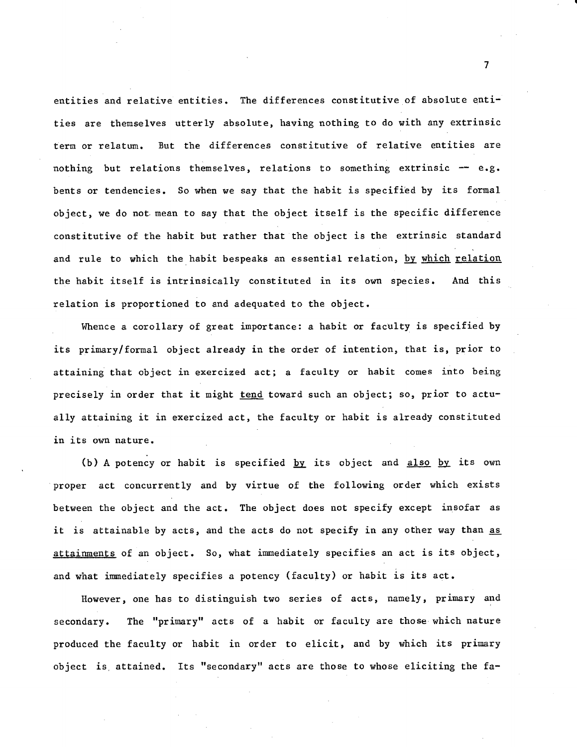**entities and relative entities. The differences constitutive of absolute entities are themselves utterly absolute, having nothing to do with any extrinsic term or relatum. But the differences constitutive of relative entities are nothing but relations themselves, relations to something extrinsic — e.g. bents or tendencies. So when we say that the habit is specified by its formal object, we do not mean to say that the object itself is the specific difference constitutive of the habit but rather that the object is the extrinsic standard and rule to which the habit bespeaks an essential relation, by which relation the habit itself is intrinsically constituted in its own species. And this relation is proportioned to and adequated to the object.**

**Whence a corollary of great importance: a habit or faculty is specified by its primary/formal object already in the order of intention, that is, prior to attaining that object in exercized act; a faculty or habit comes into being** precisely in order that it might tend toward such an object; so, prior to actu**ally attaining it in exercized act, the faculty or habit is already constituted in its own nature.**

**(b) A potency or habit is specified by its object and also by its own proper act concurrently and by virtue of the following order which exists between the object and the act. The object does not specify except insofar as it is attainable by acts, and the acts do not specify in any other way than as attainments of an object. So, what immediately specifies an act is its object, and what immediately specifies a potency (faculty) or habit is its act.**

**However, one has to distinguish two series of acts, namely, primary and secondary. The "primary" acts of a habit or faculty are those which nature produced the faculty or habit in order to elicit, and by which its primary object is attained. Its "secondary" acts are those to whose eliciting the fa**

 $\overline{7}$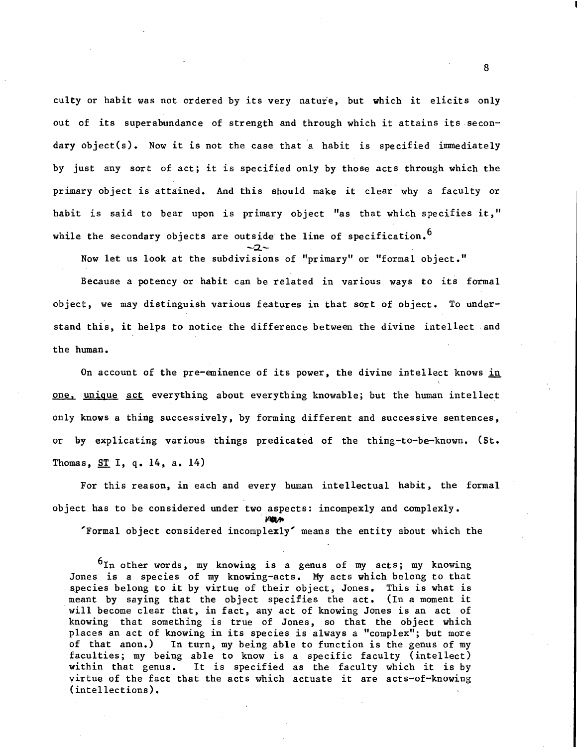**culty or habit was not ordered by its very nature, but which it elicits only out of its superabundance of strength and through which it attains its secondary object(s). Now it is not the case that a habit is specified immediately by just any sort of act; it is specified only by those acts through which the primary object is attained. And this should make it clear why a faculty or habit is said to bear upon is primary object "as that which specifies it," while the secondary objects are outside the line of specification.6**

**Now let us look at the subdivisions of "primary" or "formal object."**

-2.

**Because a potency or habit can be related in various ways to its formal object, we may distinguish various features in that sort of object. To understand this, it helps to notice the difference between the divine intellect and the human.**

**On account of the pre-eminence of its power, the divine intellect knows in one, unique act everything about everything knowable; but the human intellect only knows a thing successively, by forming different and successive sentences, or by explicating various things predicated of the thing-to-be-known. (St. Thomas, ST I, q. 14, a. 14)**

**For this reason, in each and every human intellectual habit, the formal object has to be considered under two aspects: incompexly and complexly.**

Иам

**'Formal object considered incomplexly' means the entity about which the**

**6In other words, my knowing is a genus of my acts; my knowing Jones is a species of my knowing-acts. My acts which belong to that species belong to it by virtue of their object, Jones. This is what is meant by saying that the object specifies the act. (in a moment it will become clear that, in fact, any act of knowing Jones is an act of knowing that something is true of Jones, so that the object which places an act of knowing in its species is always a "complex"; but more of that anon.) In turn, my being able to function is the genus of my faculties; my being able to know is a specific faculty (intellect) within that genus. It is specified as the faculty which it is by virtue of the fact that the acts which actuate it are acts-of-knowing (intellections).**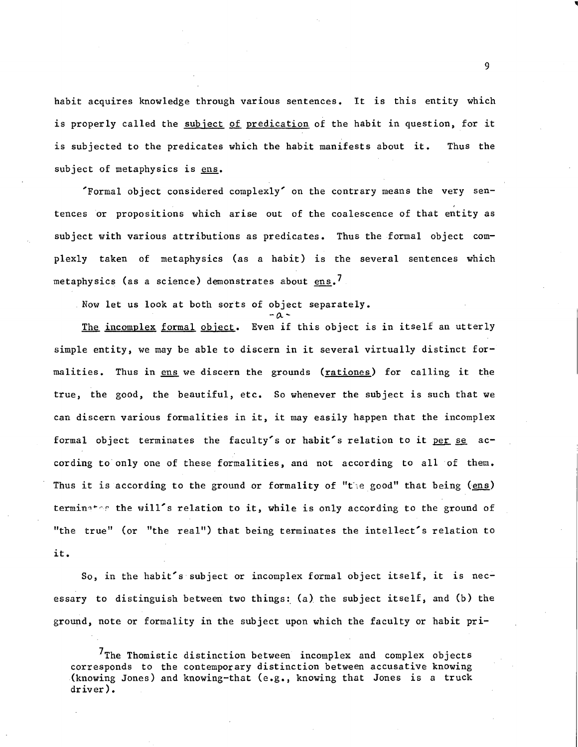**habit acquires knowledge through various sentences. It is this entity which is properly called the subject of predication of the habit in question, for it is subjected to the predicates which the habit manifests about it. Thus the subject of metaphysics is ens.**

**'Formal object considered complexly' on the contrary means the very sentences or propositions which arise out of the coalescence of that entity as subject with various attributions as predicates. Thus the formal object complexly taken of metaphysics (as a habit) is the several sentences which metaphysics (as a science) demonstrates about ens.7**

**- a -**

**Now let us look at both sorts of object separately.**

**The incomplex formal object. Even if this object is in itself an utterly simple entity, we may be able to discern in it several virtually distinct formalities. Thus in ens we discern the grounds (rationes) for calling it the true, the good, the beautiful, etc. So whenever the subject is such that we can discern various formalities in it, it may easily happen that the incomplex formal object terminates the faculty's or habit's relation to it per se according to only one of these formalities, and not according to all of them.** Thus it is according to the ground or formality of "the good" that being (ens) **terminator the will's relation to it, while is only according to the ground of "the true" (or "the real") that being terminates the intellect's relation to it.**

**So, in the habit's subject or incomplex formal object itself, it is necessary to distinguish between two things: (a) the subject itself, and (b) the ground, note or formality in the subject upon which the faculty or habit pri-**

**7The Thomistic distinction between incomplex and complex objects corresponds to the contemporary distinction between accusative knowing (knowing Jones) and knowing-that (e.g., knowing that Jones is a truck driver).**

ġ.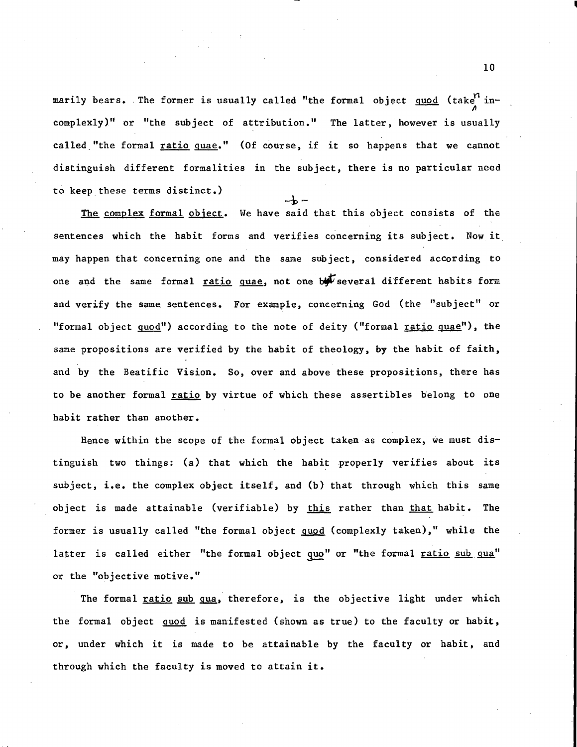marily bears. The former is usually called "the formal object quod (take<sup>n</sup> in**complexly)" or "the subject of attribution." The latter, however is usually called "the formal ratio quae." (Of course, if it so happens that we cannot distinguish different formalities in the subject, there is no particular need to keep these terms distinct.)**  $-b =$ 

**The complex formal object. We have said that this object consists of the sentences which the habit forms and verifies concerning its subject. Now it may happen that concerning one and the same subject, considered according to** one and the same formal ratio quae, not one bet several different habits form **and verify the same sentences. For example, concerning God (the "subject" or "formal object quod") according to the note of deity ("formal ratio quae"), the same propositions are verified by the habit of theology, by the habit of faith, and by the Beatific Vision. So, over and above these propositions, there has to be another formal ratio by virtue of which these assertibles belong to one habit rather than another.**

**Hence within the scope of the formal object taken as complex, we must distinguish two things: (a) that which the habit properly verifies about its subject, i.e. the complex object itself, and (b) that through which this same object is made attainable (verifiable) by this rather than that habit. The former is usually called "the formal object quod (complexly taken)," while the latter is called either "the formal object quo" or "the formal ratio sub qua" or the "objective motive."**

**The formal ratio sub qua, therefore, is the objective light under which the formal object quod is manifested (shown as true) to the faculty or habit, or, under which it is made to be attainable by the faculty or habit, and through which the faculty is moved to attain it.**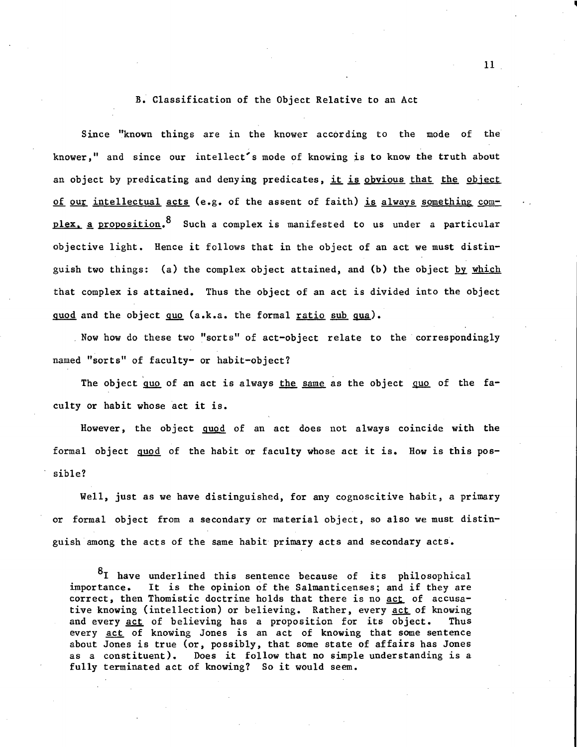## **B. Classification of the Object Relative to an Act**

**Since "known things are in the knower according to the mode of the knower," and since our intellect's mode of knowing is to know the truth about an object by predicating and denying predicates, it is obvious that the object of our intellectual acts (e.g. of the assent of faith) is always something complex, a proposition.8 Such a complex is manifested to us under a particular objective light. Hence it follows that in the object of an act we must distinguish two things: (a) the complex object attained, and (b) the object by. which that complex is attained. Thus the object of an act is divided into the object quod and the object quo (a.k.a. the formal ratio sub qua).**

**Now how do these two "sorts" of act-object relate to the correspondingly named "sorts" of faculty- or habit-object?**

The object quo of an act is always the same as the object quo of the fa**culty or habit whose act it is.**

**However, the object quod of an act does not always coincide with the formal object quod of the habit or faculty whose act it is. How is this possible?**

**Well, just as we have distinguished, for any cognoscitive habit, a primary or formal object from a secondary or material object, so also we must distinguish among the acts of the same habit primary acts and secondary acts.**

**8I have underlined this sentence because of its philosophical importance. It is the opinion of the Salmanticenses; and if they are correct, then Thomistic doctrine holds that there is no act of accusative knowing (intellection) or believing. Rather, every act of knowing and every act of believing has a proposition for its object. Thus every act of knowing Jones is an act of knowing that some sentence about Jones is true (or, possibly, that some state of affairs has Jones as a constituent). Does it follow that no simple understanding is a fully terminated act of knowing? So it would seem.**

 $11<sup>1</sup>$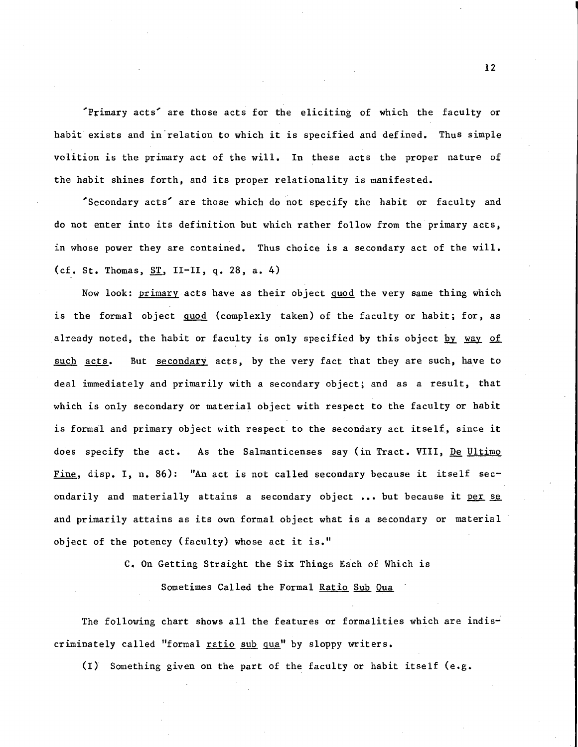**'Primary acts' are those acts for the eliciting of which the faculty or habit exists and in relation to which it is specified and defined. Thus simple volition is the primary act of the will. In these acts the proper nature of the habit shines forth, and its proper relationality is manifested.**

**'Secondary acts' are those which do not specify the habit or faculty and do not enter into its definition but which rather follow from the primary acts, in whose power they are contained. Thus choice is a secondary act of the will. (cf. St. Thomas, ST, II-II, q. 28, a. 4)**

**Now look: primary acts have as their object quod the very same thing which is the formal object quod (complexly taken) of the faculty or habit; for, as already noted, the habit or faculty is only specified by this object by way of such acts. But secondary acts, by the very fact that they are such, have to deal immediately and primarily with a secondary object; and as a result, that which is only secondary or material object with respect to the faculty or habit is formal and primary object with respect to the secondary act itself, since it does specify the act. As the Salmanticenses say (in Tract. VIII, De Ultimo Fine, disp. I, n. 86): "An act is not called secondary because it itself secondarily and materially attains a secondary object ... but because it per se and primarily attains as its own formal object what is a secondary or material object of the potency (faculty) whose act it is."**

**C. On Getting Straight the Six Things Each of Which is**

**Sometimes Called the Formal Ratio Sub Qua**

**The following chart shows all the features or formalities which are indiscriminately called "formal ratio sub qua" by sloppy writers.**

**(I) Something given on the part of the faculty or habit itself (e.g.**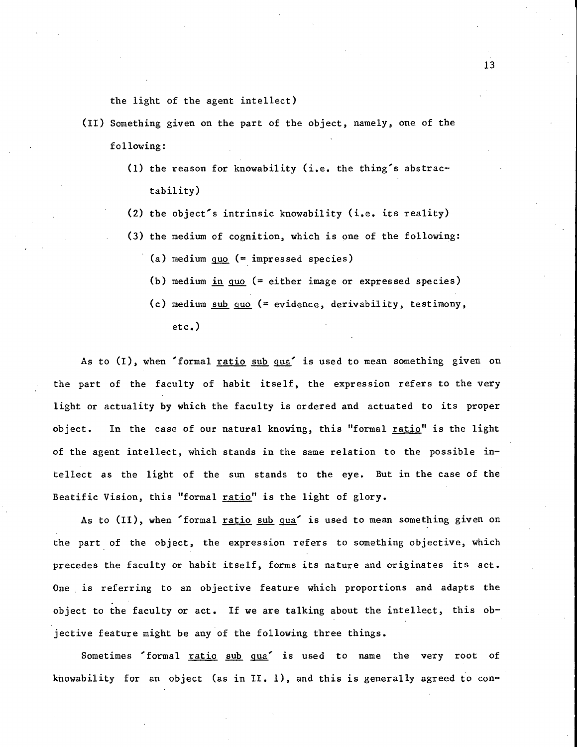**the light of the agent intellect)**

- **(II) Something given on the part of the object, namely, one of the following:**
	- **(1) the reason for knowability (i.e. the thing's abstractability)**
	- **(2) the object's intrinsic knowability (i.e. its reality)**
	- **(3) the medium of cognition, which is one of the following:**
		- **(a) medium quo (= impressed species)**
		- **(b) medium in quo (= either image or expressed species)**
		- **(c) medium sub quo (= evidence, derivability, testimony, etc.)**

**As to (I), when 'formal ratio sub qua' is used to mean something given on the part of the faculty of habit itself, the expression refers to the very light or actuality by which the faculty is ordered and actuated to its proper object. In the case of our natural knowing, this "formal ratio" is the light of the agent intellect, which stands in the same relation to the possible intellect as the light of the sun stands to the eye. But in the case of the Beatific Vision, this "formal ratio" is the light of glory.**

**As to (II), when 'formal ratio sub qua' is used to mean something given on the part of the object, the expression refers to something objective, which precedes the faculty or habit itself, forms its nature and originates its act. One is referring to an objective feature which proportions and adapts the object to the faculty or act. If we are talking about the intellect, this objective feature might be any of the following three things.**

**Sometimes 'formal ratio sub qua' is used to name the very root of knowability for an object (as in II. 1), and this is generally agreed to con**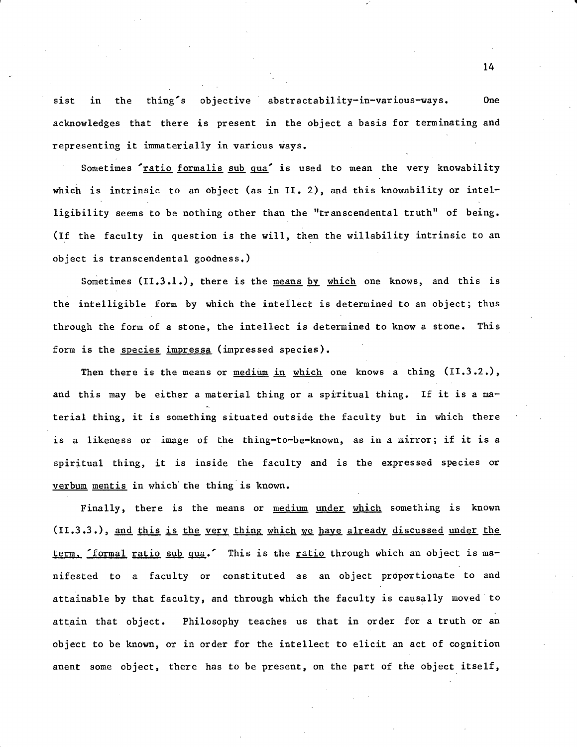**sist in the thing's objective abstractability-in-various-ways. One acknowledges that there is present in the object a basis for terminating and representing it immaterially in various ways.**

**Sometimes 'ratio formalis sub qua' is used to mean the very knowability which is intrinsic to an object (as in II. 2), and this knowability or intelligibility seems to be nothing other than the "transcendental truth" of being. (If the faculty in question is the will, then the willability intrinsic to an object is transcendental goodness.)**

**Sometimes (II.3.1.), there is the means by which one knows, and this is the intelligible form by which the intellect is determined to an object; thus through the form of a stone, the intellect is determined to know a stone. This form is the species impressa (impressed species).**

**Then there is the means or medium in which one knows a thing (II.3.2.), and this may be either a material thing or a spiritual thing. If it is a material thing, it is something situated outside the faculty but in which there is a likeness or image of the thing-to-be-known, as in a mirror; if it is a spiritual thing, it is inside the faculty and is the expressed species or verbum mentis in which the thing is known.**

**Finally, there is the means or medium under which something is known (II.3.3.), and this is the very thing which we have already discussed under the term, 'formal ratio sub qua.' This is the ratio through which an object is manifested to a faculty or constituted as an object proportionate to and attainable by that faculty, and through which the faculty is causally moved to attain that object. Philosophy teaches us that in order for a truth or an object to be known, or in order for the intellect to elicit an act of cognition anent some object, there has to be present, on the part of the object itself,**